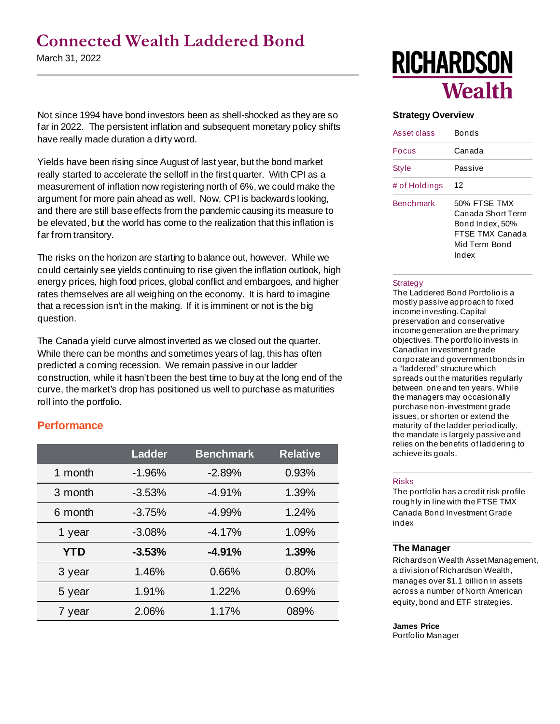### **Connected Wealth Laddered Bond**

March 31, 2022

Not since 1994 have bond investors been as shell-shocked as they are so far in 2022. The persistent inflation and subsequent monetary policy shifts have really made duration a dirty word.

Yields have been rising since August of last year, but the bond market really started to accelerate the selloff in the first quarter. With CPI as a measurement of inflation now registering north of 6%, we could make the argument for more pain ahead as well. Now, CPI is backwards looking, and there are still base effects from the pandemic causing its measure to be elevated, but the world has come to the realization that this inflation is far from transitory.

The risks on the horizon are starting to balance out, however. While we could certainly see yields continuing to rise given the inflation outlook, high energy prices, high food prices, global conflict and embargoes, and higher rates themselves are all weighing on the economy. It is hard to imagine that a recession isn't in the making. If it is imminent or not is the big question.

The Canada yield curve almost inverted as we closed out the quarter. While there can be months and sometimes years of lag, this has often predicted a coming recession. We remain passive in our ladder construction, while it hasn't been the best time to buy at the long end of the curve, the market's drop has positioned us well to purchase as maturities roll into the portfolio.

#### **Performance**

|            | <b>Ladder</b> | <b>Benchmark</b> | <b>Relative</b> |  |  |
|------------|---------------|------------------|-----------------|--|--|
| 1 month    | $-1.96%$      | $-2.89%$         | 0.93%           |  |  |
| 3 month    | $-3.53%$      | $-4.91%$         | 1.39%           |  |  |
| 6 month    | $-3.75%$      | $-4.99%$         | 1.24%           |  |  |
| 1 year     | $-3.08%$      | $-4.17%$         | 1.09%           |  |  |
| <b>YTD</b> | $-3.53%$      | $-4.91%$         | 1.39%           |  |  |
| 3 year     | 1.46%         | 0.66%            | 0.80%           |  |  |
| 5 year     | 1.91%         | 1.22%            | 0.69%           |  |  |
| 7 year     | 2.06%         | 1.17%            | 089%            |  |  |

# **RICHARDSON Wealth**

#### **Strategy Overview**

| Asset class      | Bonds                                                                                             |
|------------------|---------------------------------------------------------------------------------------------------|
| Focus            | Canada                                                                                            |
| Style            | Passive                                                                                           |
| # of Holdings    | 12                                                                                                |
| <b>Benchmark</b> | 50% FTSF TMX<br>Canada Short Term<br>Bond Index, 50%<br>FTSF TMX Canada<br>Mid Term Bond<br>Index |

#### **Strategy**

The Laddered Bond Portfolio is a mostly passive approach to fixed income investing. Capital preservation and conservative income generation are the primary objectives. The portfolio invests in Canadian investment grade corporate and government bonds in a "laddered" structure which spreads out the maturities regularly between one and ten years. While the managers may occasionally purchase non-investment grade issues, or shorten or extend the maturity of the ladder periodically, the mandate is largely passive and relies on the benefits of laddering to achieve its goals.

#### Risks

The portfolio has a credit risk profile roughly in line with the FTSE TMX Canada Bond Investment Grade index

#### **The Manager**

Richardson Wealth Asset Management, a division of Richardson Wealth, manages over \$1.1 billion in assets across a number of North American equity, bond and ETF strategies.

#### **James Price**

Portfolio Manager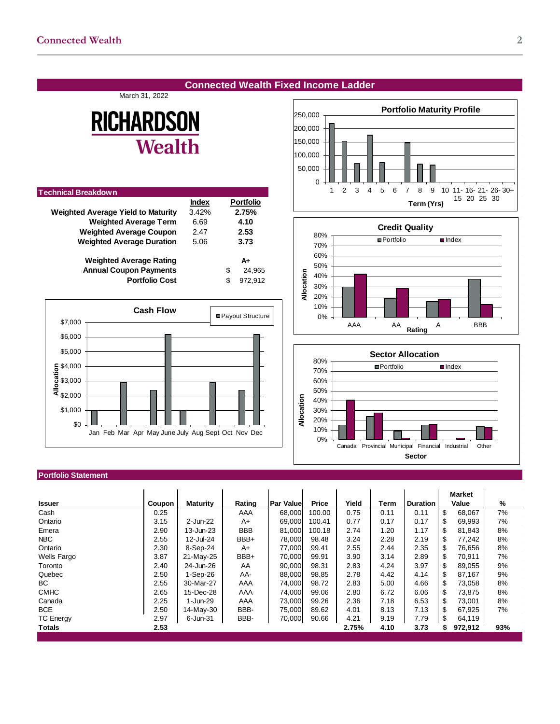#### **Connected Wealth Fixed Income Ladder**

March 31, 2022

## **RICHARDSON Wealth**

| <b>Technical Breakdown</b>                |              |    |                  |
|-------------------------------------------|--------------|----|------------------|
|                                           | <b>Index</b> |    | <b>Portfolio</b> |
| <b>Weighted Average Yield to Maturity</b> | 3.42%        |    | 2.75%            |
| <b>Weighted Average Term</b>              | 6.69         |    | 4.10             |
| <b>Weighted Average Coupon</b>            | 2.47         |    | 2.53             |
| <b>Weighted Average Duration</b>          | 5.06         |    | 3.73             |
| <b>Weighted Average Rating</b>            |              |    | A+               |
| <b>Annual Coupon Payments</b>             |              | S  | 24.965           |
| <b>Portfolio Cost</b>                     |              | \$ | 972.912          |
|                                           |              |    |                  |



#### 0 50,000 100,000 150,000 200,000 250,000 1 2 3 4 5 6 7 8 9 10 11- 16- 21- 26- 30+ 15 20 25 30 **Term (Yrs) Portfolio Maturity Profile**





#### **Portfolio Statement**

|                    |        |                 |            |                   |        |       |      |                 |       | <b>Market</b> |     |
|--------------------|--------|-----------------|------------|-------------------|--------|-------|------|-----------------|-------|---------------|-----|
| <b>Issuer</b>      | Coupon | <b>Maturity</b> | Rating     | <b>Par Valuel</b> | Price  | Yield | Term | <b>Duration</b> | Value |               | %   |
| Cash               | 0.25   |                 | AAA        | 68,000            | 100.00 | 0.75  | 0.11 | 0.11            | \$    | 68,067        | 7%  |
| Ontario            | 3.15   | 2-Jun-22        | $A+$       | 69,000            | 100.41 | 0.77  | 0.17 | 0.17            | \$.   | 69,993        | 7%  |
| Emera              | 2.90   | 13-Jun-23       | <b>BBB</b> | 81,000            | 100.18 | 2.74  | 1.20 | 1.17            | \$    | 81,843        | 8%  |
| <b>NBC</b>         | 2.55   | 12-Jul-24       | BBB+       | 78,000            | 98.48  | 3.24  | 2.28 | 2.19            | \$.   | 77,242        | 8%  |
| Ontario            | 2.30   | 8-Sep-24        | A+         | 77,000            | 99.41  | 2.55  | 2.44 | 2.35            | \$.   | 76,656        | 8%  |
| <b>Wells Fargo</b> | 3.87   | 21-May-25       | BBB+       | 70,000            | 99.91  | 3.90  | 3.14 | 2.89            | \$    | 70,911        | 7%  |
| Toronto            | 2.40   | 24-Jun-26       | AA         | 90,000            | 98.31  | 2.83  | 4.24 | 3.97            | S     | 89.055        | 9%  |
| Quebec             | 2.50   | 1-Sep-26        | AA-        | 88,000            | 98.85  | 2.78  | 4.42 | 4.14            | S     | 87,167        | 9%  |
| BC                 | 2.55   | 30-Mar-27       | AAA        | 74,000            | 98.72  | 2.83  | 5.00 | 4.66            | \$.   | 73,058        | 8%  |
| <b>CMHC</b>        | 2.65   | 15-Dec-28       | AAA        | 74,000            | 99.06  | 2.80  | 6.72 | 6.06            | \$.   | 73,875        | 8%  |
| Canada             | 2.25   | 1-Jun-29        | AAA        | 73,000            | 99.26  | 2.36  | 7.18 | 6.53            | \$.   | 73,001        | 8%  |
| <b>BCE</b>         | 2.50   | 14-May-30       | BBB-       | 75,000            | 89.62  | 4.01  | 8.13 | 7.13            | \$    | 67,925        | 7%  |
| <b>TC Energy</b>   | 2.97   | 6-Jun-31        | BBB-       | 70,000            | 90.66  | 4.21  | 9.19 | 7.79            | \$    | 64,119        |     |
| <b>Totals</b>      | 2.53   |                 |            |                   |        | 2.75% | 4.10 | 3.73            | S.    | 972,912       | 93% |
|                    |        |                 |            |                   |        |       |      |                 |       |               |     |